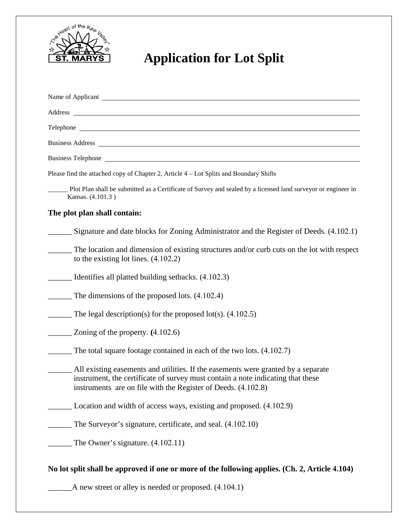

## **Application for Lot Split**

| Name of Applicant <u>example and the set of the set of the set of the set of the set of the set of the set of the set of the set of the set of the set of the set of the set of the set of the set of the set of the set of the </u>  |
|---------------------------------------------------------------------------------------------------------------------------------------------------------------------------------------------------------------------------------------|
| Address and the contract of the contract of the contract of the contract of the contract of the contract of the contract of the contract of the contract of the contract of the contract of the contract of the contract of th        |
|                                                                                                                                                                                                                                       |
|                                                                                                                                                                                                                                       |
|                                                                                                                                                                                                                                       |
| Please find the attached copy of Chapter 2, Article 4 – Lot Splits and Boundary Shifts                                                                                                                                                |
| Plot Plan shall be submitted as a Certificate of Survey and sealed by a licensed land surveyor or engineer in<br>Kansas. (4.101.3)                                                                                                    |
| The plot plan shall contain:                                                                                                                                                                                                          |
| Signature and date blocks for Zoning Administrator and the Register of Deeds. (4.102.1)                                                                                                                                               |
| The location and dimension of existing structures and/or curb cuts on the lot with respect<br>to the existing lot lines. $(4.102.2)$                                                                                                  |
| __ Identifies all platted building setbacks. (4.102.3)                                                                                                                                                                                |
| The dimensions of the proposed lots. $(4.102.4)$                                                                                                                                                                                      |
| The legal description(s) for the proposed lot(s). $(4.102.5)$                                                                                                                                                                         |
| Zoning of the property. $(4.102.6)$                                                                                                                                                                                                   |
| The total square footage contained in each of the two lots. (4.102.7)                                                                                                                                                                 |
| All existing easements and utilities. If the easements were granted by a separate<br>instrument, the certificate of survey must contain a note indicating that these<br>instruments are on file with the Register of Deeds. (4.102.8) |
| Location and width of access ways, existing and proposed. (4.102.9)                                                                                                                                                                   |
| The Surveyor's signature, certificate, and seal. $(4.102.10)$                                                                                                                                                                         |
| The Owner's signature. (4.102.11)                                                                                                                                                                                                     |
| No lot split shall be approved if one or more of the following applies. (Ch. 2, Article 4.104)<br>A new street or alley is needed or proposed. $(4.104.1)$                                                                            |